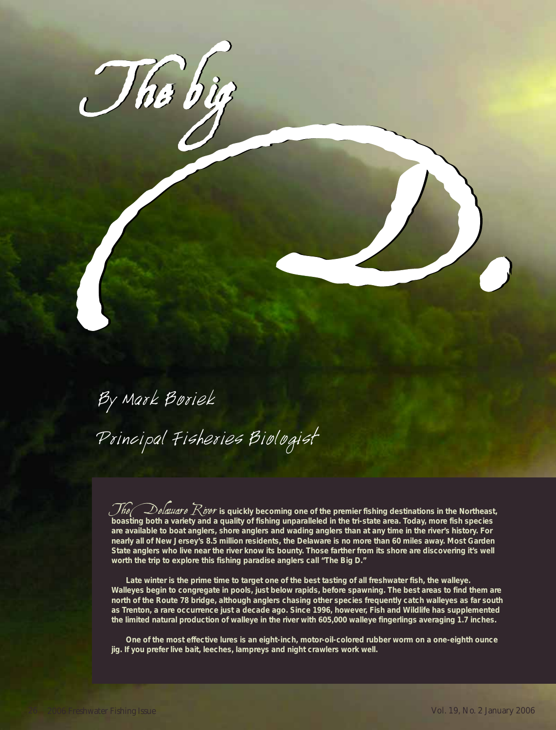

## By Mark Boriek Principal Fisheries Biologist

The *Qelaware Kiver* is quickly becoming one of the premier fishing destinations in the Northeast,<br>boasting both a variety and a quality of fishing unparalleled in the tri-state area. Today, more fish species **are available to boat anglers, shore anglers and wading anglers than at any time in the river's history. For nearly all of New Jersey's 8.5 million residents, the Delaware is no more than 60 miles away. Most Garden State anglers who live near the river know its bounty. Those farther from its shore are discovering it's well worth the trip to explore this fishing paradise anglers call "The Big D."**

**Late winter is the prime time to target one of the best tasting of all freshwater fish, the walleye. Walleyes begin to congregate in pools, just below rapids, before spawning. The best areas to find them are north of the Route 78 bridge, although anglers chasing other species frequently catch walleyes as far south as Trenton, a rare occurrence just a decade ago. Since 1996, however, Fish and Wildlife has supplemented the limited natural production of walleye in the river with 605,000 walleye fingerlings averaging 1.7 inches.**

**One of the most effective lures is an eight-inch, motor-oil-colored rubber worm on a one-eighth ounce jig. If you prefer live bait, leeches, lampreys and night crawlers work well.**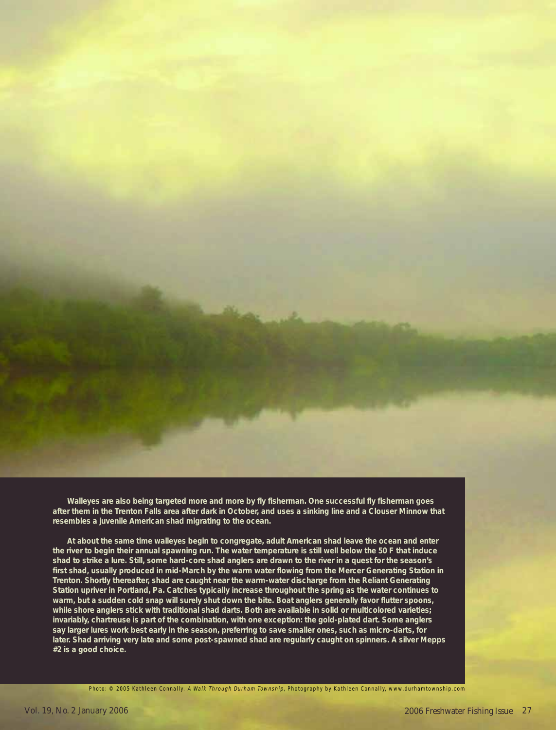**Walleyes are also being targeted more and more by fly fisherman. One successful fly fisherman goes after them in the Trenton Falls area after dark in October, and uses a sinking line and a Clouser Minnow that resembles a juvenile American shad migrating to the ocean.** 

**At about the same time walleyes begin to congregate, adult American shad leave the ocean and enter the river to begin their annual spawning run. The water temperature is still well below the 50 F that induce shad to strike a lure. Still, some hard-core shad anglers are drawn to the river in a quest for the season's first shad, usually produced in mid-March by the warm water flowing from the Mercer Generating Station in Trenton. Shortly thereafter, shad are caught near the warm-water discharge from the Reliant Generating Station upriver in Portland, Pa. Catches typically increase throughout the spring as the water continues to warm, but a sudden cold snap will surely shut down the bite. Boat anglers generally favor flutter spoons, while shore anglers stick with traditional shad darts. Both are available in solid or multicolored varieties; invariably, chartreuse is part of the combination, with one exception: the gold-plated dart. Some anglers say larger lures work best early in the season, preferring to save smaller ones, such as micro-darts, for later. Shad arriving very late and some post-spawned shad are regularly caught on spinners. A silver Mepps #2 is a good choice.** 

Photo: © 2005 Kathleen Connally. A Walk Through Durham Township, Photography by Kathleen Connally, www.durhamtownship.com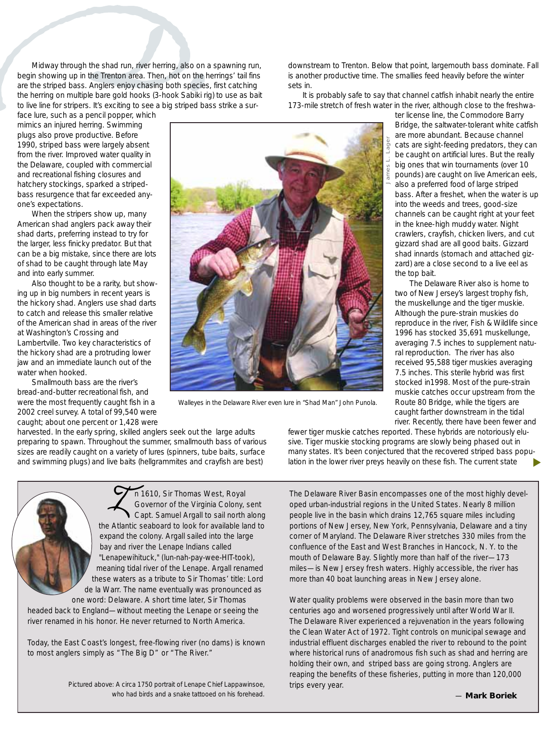Midway through the shad run, river herring, also on<br>begin showing up in the Trenton area. Then, hot on the<br>are the striped bass. Anglers enjoy chasing both specie<br>the herring on multiple bare gold hooks (3-hook Sabiki r<br>to Midway through the shad run, river herring, also on a spawning run, begin showing up in the Trenton area. Then, hot on the herrings' tail fins are the striped bass. Anglers enjoy chasing both species, first catching the herring on multiple bare gold hooks (3-hook Sabiki rig) to use as bait to live line for stripers. It's exciting to see a big striped bass strike a sur-

face lure, such as a pencil popper, which mimics an injured herring. Swimming plugs also prove productive. Before 1990, striped bass were largely absent from the river. Improved water quality in the Delaware, coupled with commercial and recreational fishing closures and hatchery stockings, sparked a stripedbass resurgence that far exceeded anyone's expectations.

When the stripers show up, many American shad anglers pack away their shad darts, preferring instead to try for the larger, less finicky predator. But that can be a big mistake, since there are lots of shad to be caught through late May and into early summer.

Also thought to be a rarity, but showing up in big numbers in recent years is the hickory shad. Anglers use shad darts to catch and release this smaller relative of the American shad in areas of the river at Washington's Crossing and Lambertville. Two key characteristics of the hickory shad are a protruding lower jaw and an immediate launch out of the water when hooked.

Smallmouth bass are the river's bread-and-butter recreational fish, and were the most frequently caught fish in a 2002 creel survey. A total of 99,540 were caught; about one percent or 1,428 were



*Walleyes in the Delaware River even lure in "Shad Man" John Punola.*

harvested. In the early spring, skilled anglers seek out the large adults preparing to spawn. Throughout the summer, smallmouth bass of various sizes are readily caught on a variety of lures (spinners, tube baits, surface and swimming plugs) and live baits (hellgrammites and crayfish are best)

> n 1610, Sir Thomas West, Royal Governor of the Virginia Colony, sent Capt. Samuel Argall to sail north along n 1610, Sir Thomas West, Royal<br>Governor of the Virginia Colony, sent<br>Capt. Samuel Argall to sail north along<br>the Atlantic seaboard to look for available land to

expand the colony. Argall sailed into the large bay and river the Lenape Indians called "Lenapewihituck," (lun-nah-pay-wee-HIT-took), meaning tidal river of the Lenape. Argall renamed these waters as a tribute to Sir Thomas' title: Lord de la Warr. The name eventually was pronounced as one word: Delaware. A short time later, Sir Thomas headed back to England—without meeting the Lenape or seeing the river renamed in his honor. He never returned to North America.

fewer tiger muskie catches reported. These hybrids are notoriously elusive. Tiger muskie stocking programs are slowly being phased out in many states. It's been conjectured that the recovered striped bass population in the lower river preys heavily on these fish. The current state ▼

The Delaware River Basin encompasses one of the most highly developed urban-industrial regions in the United States. Nearly 8 million people live in the basin which drains 12,765 square miles including portions of New Jersey, New York, Pennsylvania, Delaware and a tiny corner of Maryland. The Delaware River stretches 330 miles from the confluence of the East and West Branches in Hancock, N. Y. to the mouth of Delaware Bay. Slightly more than half of the river—173 miles—is New Jersey fresh waters. Highly accessible, the river has more than 40 boat launching areas in New Jersey alone.

Water quality problems were observed in the basin more than two centuries ago and worsened progressively until after World War II. The Delaware River experienced a rejuvenation in the years following the Clean Water Act of 1972. Tight controls on municipal sewage and industrial effluent discharges enabled the river to rebound to the point where historical runs of anadromous fish such as shad and herring are holding their own, and striped bass are going strong. Anglers are reaping the benefits of these fisheries, putting in more than 120,000 trips every year.

Today, the East Coast's longest, free-flowing river (no dams) is known

to most anglers simply as "The Big D" or "The River."

is another productive time. The smallies feed heavily before the winter sets in. It is probably safe to say that channel catfish inhabit nearly the entire

downstream to Trenton. Below that point, largemouth bass dominate. Fall

173-mile stretch of fresh water in the river, although close to the freshwa-

ter license line, the Commodore Barry Bridge, the saltwater-tolerant white catfish are more abundant. Because channel cats are sight-feeding predators, they can be caught on artificial lures. But the really big ones that win tournaments (over 10 pounds) are caught on live American eels, also a preferred food of large striped bass. After a freshet, when the water is up into the weeds and trees, good-size channels can be caught right at your feet in the knee-high muddy water. Night crawlers, crayfish, chicken livers, and cut gizzard shad are all good baits. Gizzard shad innards (stomach and attached gizzard) are a close second to a live eel as the top bait.

The Delaware River also is home to two of New Jersey's largest trophy fish, the muskellunge and the tiger muskie. Although the pure-strain muskies do reproduce in the river, Fish & Wildlife since 1996 has stocked 35,691 muskellunge, averaging 7.5 inches to supplement natural reproduction. The river has also received 95,588 tiger muskies averaging 7.5 inches. This sterile hybrid was first stocked in1998. Most of the pure-strain muskie catches occur upstream from the Route 80 Bridge, while the tigers are caught farther downstream in the tidal river. Recently, there have been fewer and

— **Mark Boriek**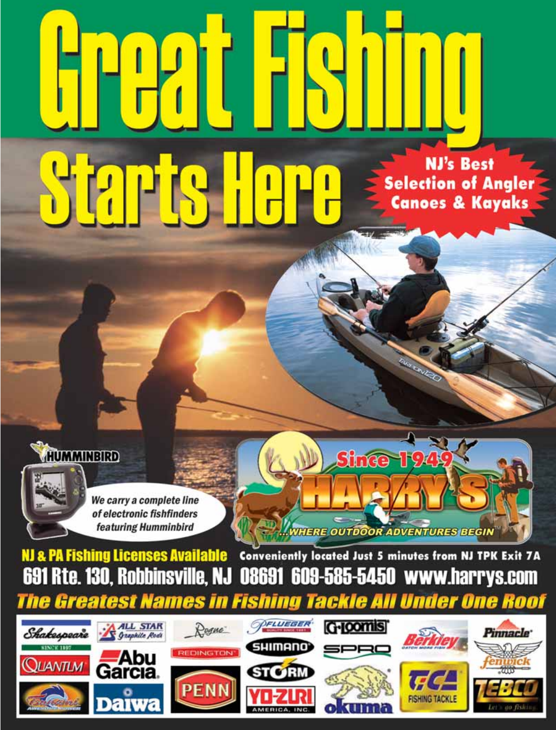## TAPK

**NJ's Best Selection of Angler Canoes & Kayaks** 





**NJ & PA Fishing Licenses Available** Conveniently located Just 5 minutes from NJ TPK Exit 7A 691 Rte. 130, Robbinsville, NJ 08691 609-585-5450 www.harrys.com

**Since** 

**WHERE OUTDOOR ADVENTURES BEGIN** 

The Greatest Names in **Fishing Tackle All Under One Roof** OFLUEGER G-Joomis **ALL STAR** Roque<sup>-</sup> Shakespeare Pinnacle **Graphite Rods SHIMANO SPRC DINGTON JUANTLM STORM PENN FISHING TACKL**  $\mathbf{E}$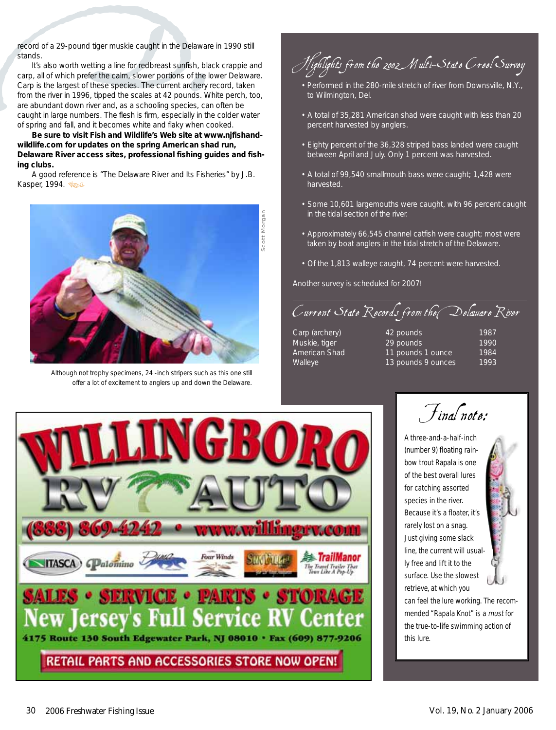record of a 29-pound tiger muskie caught in the Delaware in 1990 still stands.

record of a 29-pound tiger muskie caught in the Delawa<br>stands.<br>It's also worth wetting a line for redbreast sunfish, bl<br>carp, all of which prefer the calm, slower portions of the<br>Carp is the largest of these species. The c It's also worth wetting a line for redbreast sunfish, black crappie and carp, all of which prefer the calm, slower portions of the lower Delaware. Carp is the largest of these species. The current archery record, taken from the river in 1996, tipped the scales at 42 pounds. White perch, too, are abundant down river and, as a schooling species, can often be caught in large numbers. The flesh is firm, especially in the colder water of spring and fall, and it becomes white and flaky when cooked.

**Be sure to visit Fish and Wildlife's Web site at www.njfishandwildlife.com for updates on the spring American shad run, Delaware River access sites, professional fishing guides and fishing clubs.**

A good reference is "The Delaware River and Its Fisheries" by J.B. Kasper, 1994. Se



*Although not trophy specimens, 24 -inch stripers such as this one still offer a lot of excitement to anglers up and down the Delaware.*

Highlights from the 2002 Multi-State Creel Survey

- Performed in the 280-mile stretch of river from Downsville, N.Y., to Wilmington, Del.
- A total of 35,281 American shad were caught with less than 20 percent harvested by anglers.
- Eighty percent of the 36,328 striped bass landed were caught between April and July. Only 1 percent was harvested.
- A total of 99,540 smallmouth bass were caught; 1,428 were harvested.
- Some 10,601 largemouths were caught, with 96 percent caught in the tidal section of the river.
- Approximately 66,545 channel catfish were caught; most were taken by boat anglers in the tidal stretch of the Delaware.
- Of the 1,813 walleye caught, 74 percent were harvested.

Another survey is scheduled for 2007!

Current State Records from the Delaware River

- 
- Carp (archery) 42 pounds 1987 Muskie, tiger 1990 **29 pounds** 1990 American Shad 11 pounds 1 ounce 1984 Walleye 13 pounds 9 ounces 1993



Final note:

A three-and-a-half-inch (number 9) floating rainbow trout Rapala is one of the best overall lures for catching assorted species in the river. Because it's a floater, it's rarely lost on a snag. Just giving some slack line, the current will usually free and lift it to the surface. Use the slowest retrieve, at which you

can feel the lure working. The recommended "Rapala Knot" is a must for the true-to-life swimming action of this lure.